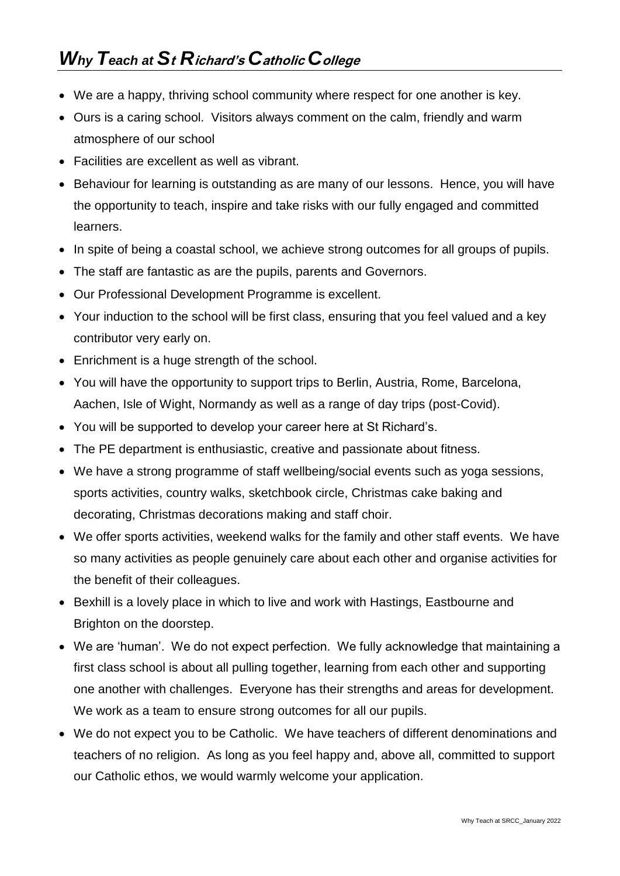- We are a happy, thriving school community where respect for one another is key.
- Ours is a caring school. Visitors always comment on the calm, friendly and warm atmosphere of our school
- Facilities are excellent as well as vibrant.
- Behaviour for learning is outstanding as are many of our lessons. Hence, you will have the opportunity to teach, inspire and take risks with our fully engaged and committed learners.
- In spite of being a coastal school, we achieve strong outcomes for all groups of pupils.
- The staff are fantastic as are the pupils, parents and Governors.
- Our Professional Development Programme is excellent.
- Your induction to the school will be first class, ensuring that you feel valued and a key contributor very early on.
- Enrichment is a huge strength of the school.
- You will have the opportunity to support trips to Berlin, Austria, Rome, Barcelona, Aachen, Isle of Wight, Normandy as well as a range of day trips (post-Covid).
- You will be supported to develop your career here at St Richard's.
- The PE department is enthusiastic, creative and passionate about fitness.
- We have a strong programme of staff wellbeing/social events such as yoga sessions, sports activities, country walks, sketchbook circle, Christmas cake baking and decorating, Christmas decorations making and staff choir.
- We offer sports activities, weekend walks for the family and other staff events. We have so many activities as people genuinely care about each other and organise activities for the benefit of their colleagues.
- Bexhill is a lovely place in which to live and work with Hastings, Eastbourne and Brighton on the doorstep.
- We are 'human'. We do not expect perfection. We fully acknowledge that maintaining a first class school is about all pulling together, learning from each other and supporting one another with challenges. Everyone has their strengths and areas for development. We work as a team to ensure strong outcomes for all our pupils.
- We do not expect you to be Catholic. We have teachers of different denominations and teachers of no religion. As long as you feel happy and, above all, committed to support our Catholic ethos, we would warmly welcome your application.